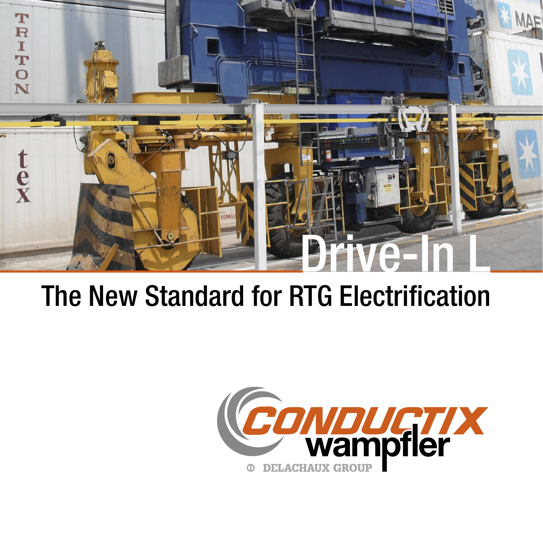

## The New Standard for RTG Electrification

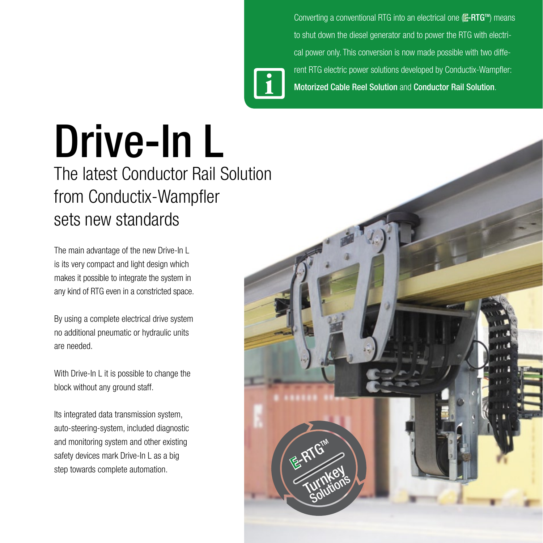Converting a conventional RTG into an electrical one (E-RTG<sup>™</sup>) means to shut down the diesel generator and to power the RTG with electrical power only. This conversion is now made possible with two different RTG electric power solutions developed by Conductix-Wampfler: **i** Motorized Cable Reel Solution and Conductor Rail Solution.

## Drive-In L

The latest Conductor Rail Solution from Conductix-Wampfler sets new standards

The main advantage of the new Drive-In L is its very compact and light design which makes it possible to integrate the system in any kind of RTG even in a constricted space.

By using a complete electrical drive system no additional pneumatic or hydraulic units are needed.

With Drive-In L it is possible to change the block without any ground staff.

Its integrated data transmission system, auto-steering-system, included diagnostic and monitoring system and other existing safety devices mark Drive-In L as a big step towards complete automation.

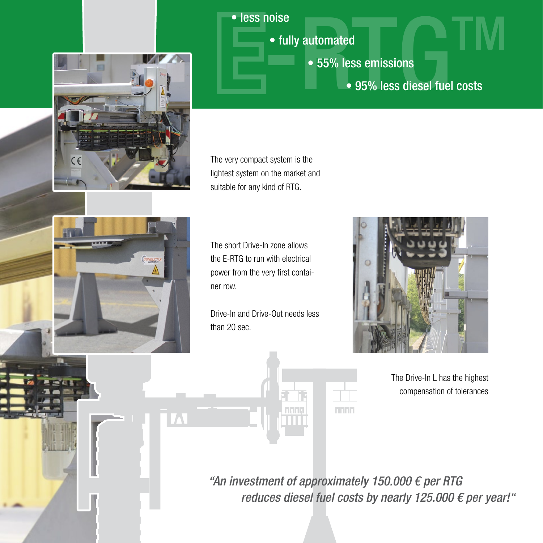

• fully automated

- 55% less emissions
- less noise<br>• fully automated<br>• 55% less emissions<br>• 95% less diesel fuel costs • 95% less diesel fuel costs

The very compact system is the lightest system on the market and suitable for any kind of RTG.



CE

The short Drive-In zone allows the E-RTG to run with electrical power from the very first container row.

Drive-In and Drive-Out needs less than 20 sec.



The Drive-In L has the highest compensation of tolerances

"An investment of approximately 150.000  $\epsilon$  per RTG reduces diesel fuel costs by nearly 125.000  $\epsilon$  per year!"

**TITLE**